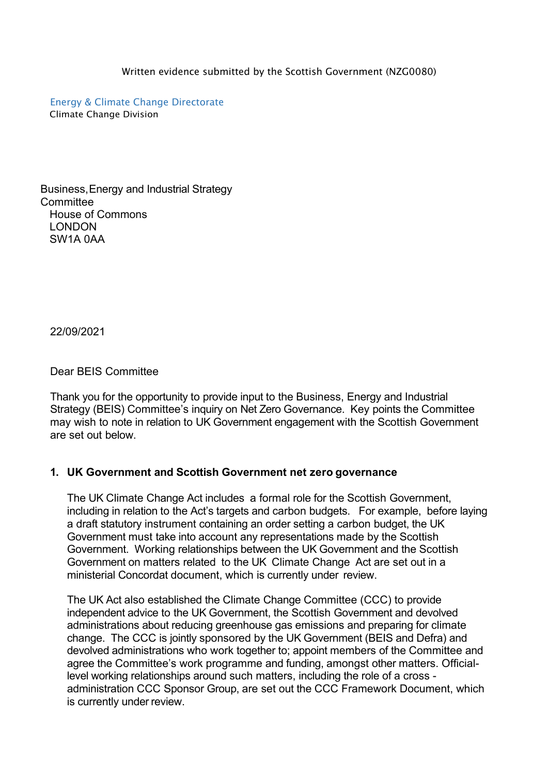Written evidence submitted by the Scottish Government (NZG0080)

Energy & Climate Change Directorate Climate Change Division

Business,Energy and Industrial Strategy **Committee** House of Commons LONDON SW1A 0AA

22/09/2021

Dear BEIS Committee

Thank you for the opportunity to provide input to the Business, Energy and Industrial Strategy (BEIS) Committee's inquiry on Net Zero Governance. Key points the Committee may wish to note in relation to UK Government engagement with the Scottish Government are set out below.

#### **1. UK Government and Scottish Government net zero governance**

The UK Climate Change Act includes a formal role for the Scottish Government, including in relation to the Act's targets and carbon budgets. For example, before laying a draft statutory instrument containing an order setting a carbon budget, the UK Government must take into account any representations made by the Scottish Government. Working relationships between the UK Government and the Scottish Government on matters related to the UK Climate Change Act are set out in a ministerial Concordat document, which is currently under review.

The UK Act also established the Climate Change Committee (CCC) to provide independent advice to the UK Government, the Scottish Government and devolved administrations about reducing greenhouse gas emissions and preparing for climate change. The CCC is jointly sponsored by the UK Government (BEIS and Defra) and devolved administrations who work together to; appoint members of the Committee and agree the Committee's work programme and funding, amongst other matters. Officiallevel working relationships around such matters, including the role of a cross administration CCC Sponsor Group, are set out the CCC Framework Document, which is currently under review.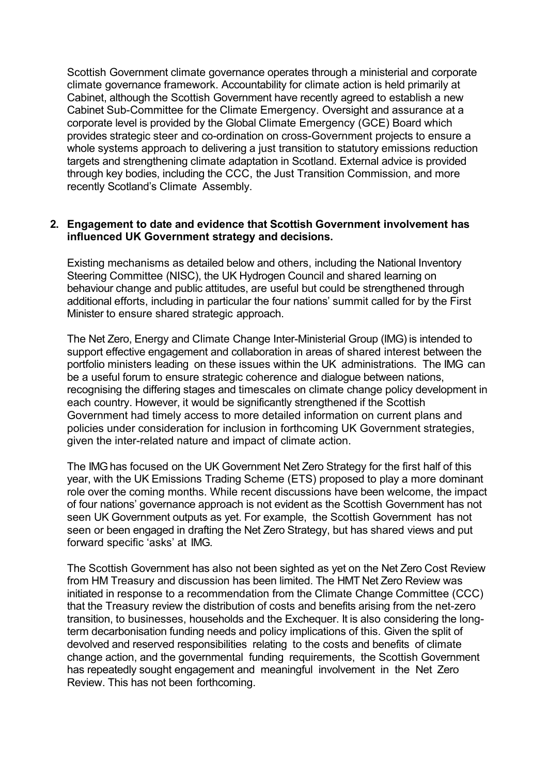Scottish Government climate governance operates through a ministerial and corporate climate governance framework. Accountability for climate action is held primarily at Cabinet, although the Scottish Government have recently agreed to establish a new Cabinet Sub-Committee for the Climate Emergency. Oversight and assurance at a corporate level is provided by the Global Climate Emergency (GCE) Board which provides strategic steer and co-ordination on cross-Government projects to ensure a whole systems approach to delivering a just transition to statutory emissions reduction targets and strengthening climate adaptation in Scotland. External advice is provided through key bodies, including the CCC, the Just Transition Commission, and more recently Scotland's Climate Assembly.

### **2. Engagement to date and evidence that Scottish Government involvement has influenced UK Government strategy and decisions.**

Existing mechanisms as detailed below and others, including the National Inventory Steering Committee (NISC), the UK Hydrogen Council and shared learning on behaviour change and public attitudes, are useful but could be strengthened through additional efforts, including in particular the four nations' summit called for by the First Minister to ensure shared strategic approach.

The Net Zero, Energy and Climate Change Inter-Ministerial Group (IMG) is intended to support effective engagement and collaboration in areas of shared interest between the portfolio ministers leading on these issues within the UK administrations. The IMG can be a useful forum to ensure strategic coherence and dialogue between nations, recognising the differing stages and timescales on climate change policy development in each country. However, it would be significantly strengthened if the Scottish Government had timely access to more detailed information on current plans and policies under consideration for inclusion in forthcoming UK Government strategies, given the inter-related nature and impact of climate action.

The IMGhas focused on the UK Government Net Zero Strategy for the first half of this year, with the UK Emissions Trading Scheme (ETS) proposed to play a more dominant role over the coming months. While recent discussions have been welcome, the impact of four nations' governance approach is not evident as the Scottish Government has not seen UK Government outputs as yet. For example, the Scottish Government has not seen or been engaged in drafting the Net Zero Strategy, but has shared views and put forward specific 'asks' at IMG.

The Scottish Government has also not been sighted as yet on the Net Zero Cost Review from HM Treasury and discussion has been limited. The HMT Net Zero Review was initiated in response to a recommendation from the Climate Change Committee (CCC) that the Treasury review the distribution of costs and benefits arising from the net-zero transition, to businesses, households and the Exchequer. It is also considering the longterm decarbonisation funding needs and policy implications of this. Given the split of devolved and reserved responsibilities relating to the costs and benefits of climate change action, and the governmental funding requirements, the Scottish Government has repeatedly sought engagement and meaningful involvement in the Net Zero Review. This has not been forthcoming.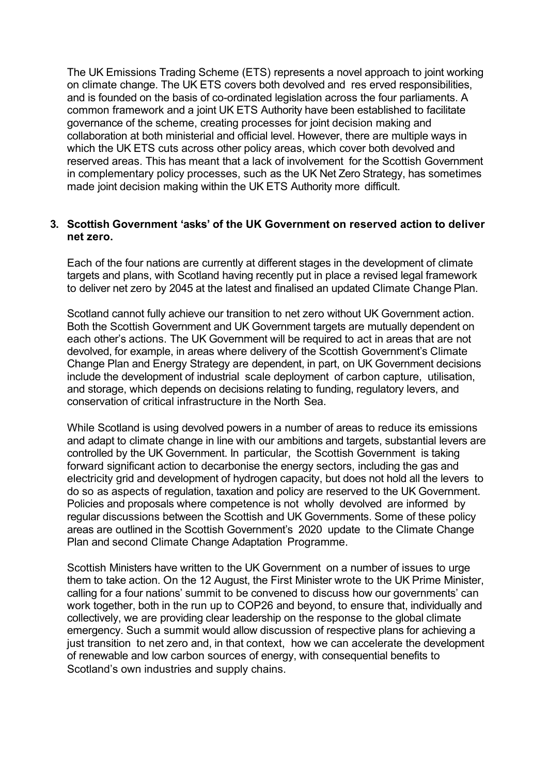The UK Emissions Trading Scheme (ETS) represents a novel approach to joint working on climate change. The UK ETS covers both devolved and res erved responsibilities, and is founded on the basis of co-ordinated legislation across the four parliaments. A common framework and a joint UK ETS Authority have been established to facilitate governance of the scheme, creating processes for joint decision making and collaboration at both ministerial and official level. However, there are multiple ways in which the UK ETS cuts across other policy areas, which cover both devolved and reserved areas. This has meant that a lack of involvement for the Scottish Government in complementary policy processes, such as the UK Net Zero Strategy, has sometimes made joint decision making within the UK ETS Authority more difficult.

## **3. Scottish Government 'asks' of the UK Government on reserved action to deliver net zero.**

Each of the four nations are currently at different stages in the development of climate targets and plans, with Scotland having recently put in place a revised legal framework to deliver net zero by 2045 at the latest and finalised an updated Climate Change Plan.

Scotland cannot fully achieve our transition to net zero without UK Government action. Both the Scottish Government and UK Government targets are mutually dependent on each other's actions. The UK Government will be required to act in areas that are not devolved, for example, in areas where delivery of the Scottish Government's Climate Change Plan and Energy Strategy are dependent, in part, on UK Government decisions include the development of industrial scale deployment of carbon capture, utilisation, and storage, which depends on decisions relating to funding, regulatory levers, and conservation of critical infrastructure in the North Sea.

While Scotland is using devolved powers in a number of areas to reduce its emissions and adapt to climate change in line with our ambitions and targets, substantial levers are controlled by the UK Government. In particular, the Scottish Government is taking forward significant action to decarbonise the energy sectors, including the gas and electricity grid and development of hydrogen capacity, but does not hold all the levers to do so as aspects of regulation, taxation and policy are reserved to the UK Government. Policies and proposals where competence is not wholly devolved are informed by regular discussions between the Scottish and UK Governments. Some of these policy areas are outlined in the Scottish Government's 2020 update to the Climate Change Plan and second Climate Change Adaptation Programme.

Scottish Ministers have written to the UK Government on a number of issues to urge them to take action. On the 12 August, the First Minister wrote to the UK Prime Minister, calling for a four nations' summit to be convened to discuss how our governments' can work together, both in the run up to COP26 and beyond, to ensure that, individually and collectively, we are providing clear leadership on the response to the global climate emergency. Such a summit would allow discussion of respective plans for achieving a just transition to net zero and, in that context, how we can accelerate the development of renewable and low carbon sources of energy, with consequential benefits to Scotland's own industries and supply chains.